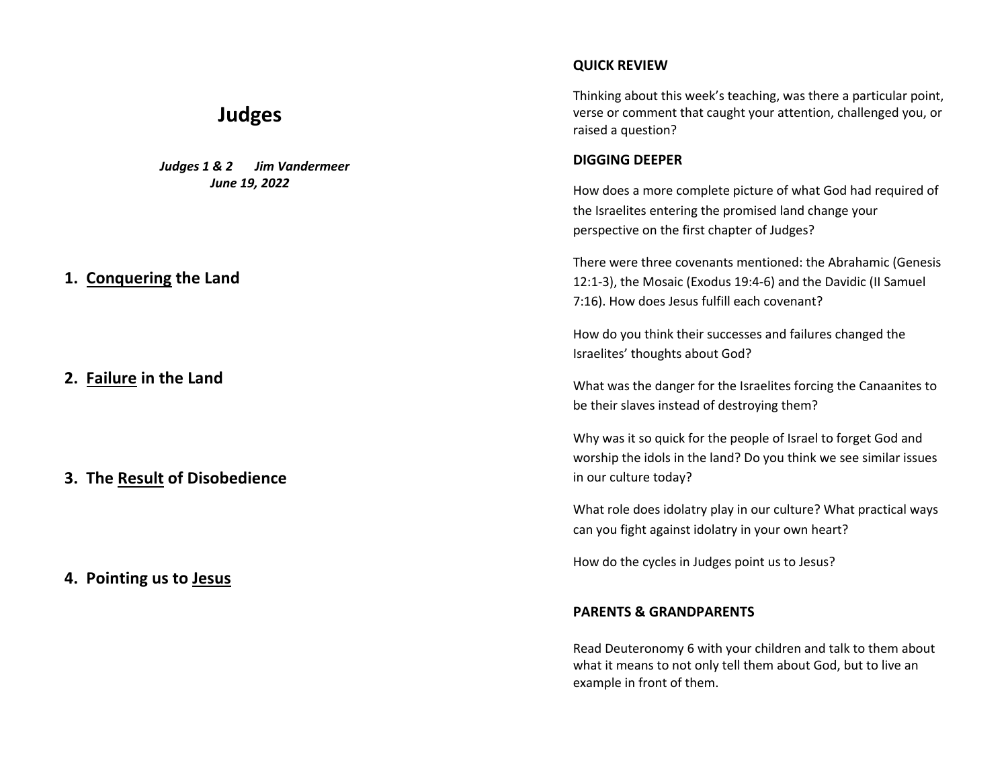# **Judges**

 *Judges 1 & 2 Jim Vandermeer June 19, 2022*

### **1. Conquering the Land**

**2. Failure in the Land**

**3. The Result of Disobedience**

### **4. Pointing us to Jesus**

### **QUICK REVIEW**

Thinking about this week's teaching, was there a particular point, verse or comment that caught your attention, challenged you, or raised a question?

#### **DIGGING DEEPER**

How does a more complete picture of what God had required of the Israelites entering the promised land change your perspective on the first chapter of Judges?

There were three covenants mentioned: the Abrahamic (Genesis 12:1-3), the Mosaic (Exodus 19:4-6) and the Davidic (II Samuel 7:16). How does Jesus fulfill each covenant?

How do you think their successes and failures changed the Israelites' thoughts about God?

What was the danger for the Israelites forcing the Canaanites to be their slaves instead of destroying them?

Why was it so quick for the people of Israel to forget God and worship the idols in the land? Do you think we see similar issues in our culture today?

What role does idolatry play in our culture? What practical ways can you fight against idolatry in your own heart?

How do the cycles in Judges point us to Jesus?

#### **PARENTS & GRANDPARENTS**

Read Deuteronomy 6 with your children and talk to them about what it means to not only tell them about God, but to live an example in front of them.